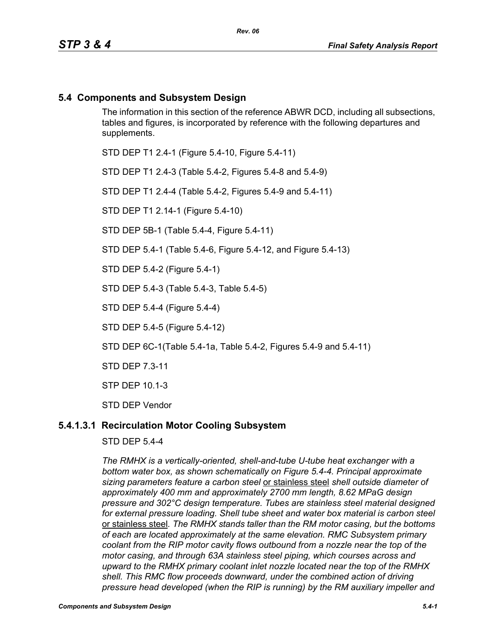## **5.4 Components and Subsystem Design**

The information in this section of the reference ABWR DCD, including all subsections, tables and figures, is incorporated by reference with the following departures and supplements.

STD DEP T1 2.4-1 (Figure 5.4-10, Figure 5.4-11)

STD DEP T1 2.4-3 (Table 5.4-2, Figures 5.4-8 and 5.4-9)

STD DEP T1 2.4-4 (Table 5.4-2, Figures 5.4-9 and 5.4-11)

STD DEP T1 2.14-1 (Figure 5.4-10)

STD DEP 5B-1 (Table 5.4-4, Figure 5.4-11)

STD DEP 5.4-1 (Table 5.4-6, Figure 5.4-12, and Figure 5.4-13)

STD DEP 5.4-2 (Figure 5.4-1)

STD DEP 5.4-3 (Table 5.4-3, Table 5.4-5)

STD DEP 5.4-4 (Figure 5.4-4)

STD DEP 5.4-5 (Figure 5.4-12)

STD DEP 6C-1(Table 5.4-1a, Table 5.4-2, Figures 5.4-9 and 5.4-11)

STD DEP 7.3-11

STP DEP 10.1-3

STD DEP Vendor

### **5.4.1.3.1 Recirculation Motor Cooling Subsystem**

STD DEP 5.4-4

*The RMHX is a vertically-oriented, shell-and-tube U-tube heat exchanger with a bottom water box, as shown schematically on Figure 5.4-4. Principal approximate sizing parameters feature a carbon steel* or stainless steel *shell outside diameter of approximately 400 mm and approximately 2700 mm length, 8.62 MPaG design pressure and 302°C design temperature. Tubes are stainless steel material designed for external pressure loading. Shell tube sheet and water box material is carbon steel*  or stainless steel*. The RMHX stands taller than the RM motor casing, but the bottoms of each are located approximately at the same elevation. RMC Subsystem primary coolant from the RIP motor cavity flows outbound from a nozzle near the top of the motor casing, and through 63A stainless steel piping, which courses across and upward to the RMHX primary coolant inlet nozzle located near the top of the RMHX shell. This RMC flow proceeds downward, under the combined action of driving pressure head developed (when the RIP is running) by the RM auxiliary impeller and*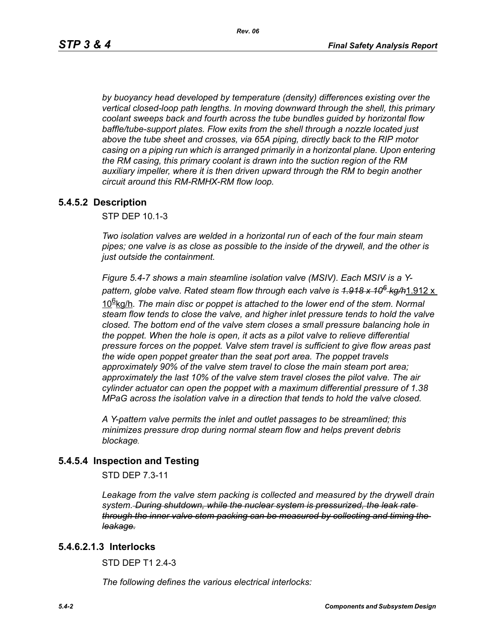*by buoyancy head developed by temperature (density) differences existing over the vertical closed-loop path lengths. In moving downward through the shell, this primary coolant sweeps back and fourth across the tube bundles guided by horizontal flow baffle/tube-support plates. Flow exits from the shell through a nozzle located just above the tube sheet and crosses, via 65A piping, directly back to the RIP motor casing on a piping run which is arranged primarily in a horizontal plane. Upon entering the RM casing, this primary coolant is drawn into the suction region of the RM auxiliary impeller, where it is then driven upward through the RM to begin another circuit around this RM-RMHX-RM flow loop.*

### **5.4.5.2 Description**

STP DEP 10.1-3

*Two isolation valves are welded in a horizontal run of each of the four main steam pipes; one valve is as close as possible to the inside of the drywell, and the other is just outside the containment.* 

*Figure 5.4-7 shows a main steamline isolation valve (MSIV). Each MSIV is a Ypattern, globe valve. Rated steam flow through each valve is 1.918 x 106 kg/h*1.912 x

10<sup>g</sup>kg/h. The main disc or poppet is attached to the lower end of the stem. Normal *steam flow tends to close the valve, and higher inlet pressure tends to hold the valve closed. The bottom end of the valve stem closes a small pressure balancing hole in the poppet. When the hole is open, it acts as a pilot valve to relieve differential pressure forces on the poppet. Valve stem travel is sufficient to give flow areas past the wide open poppet greater than the seat port area. The poppet travels approximately 90% of the valve stem travel to close the main steam port area; approximately the last 10% of the valve stem travel closes the pilot valve. The air cylinder actuator can open the poppet with a maximum differential pressure of 1.38 MPaG across the isolation valve in a direction that tends to hold the valve closed.* 

*A Y-pattern valve permits the inlet and outlet passages to be streamlined; this minimizes pressure drop during normal steam flow and helps prevent debris blockage.*

### **5.4.5.4 Inspection and Testing**

STD DEP 7.3-11

Leakage from the valve stem packing is collected and measured by the drywell drain *system. During shutdown, while the nuclear system is pressurized, the leak rate through the inner valve stem packing can be measured by collecting and timing the leakage.*

### **5.4.6.2.1.3 Interlocks**

STD DFP T1 2 4-3

*The following defines the various electrical interlocks:*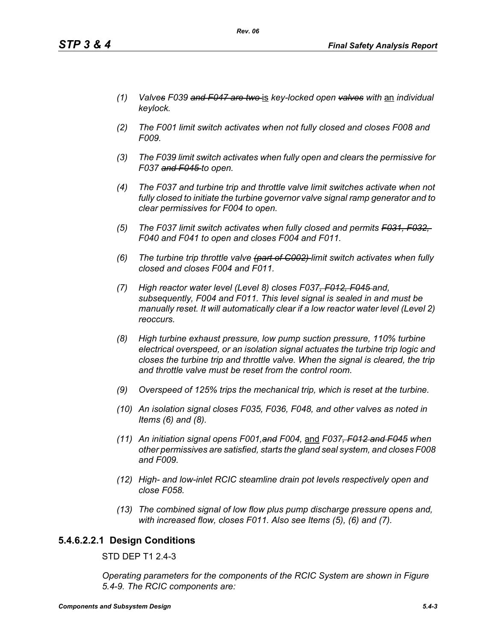- *(1) Valves F039 and F047 are two* is *key-locked open valves with* an *individual keylock.*
- *(2) The F001 limit switch activates when not fully closed and closes F008 and F009.*
- *(3) The F039 limit switch activates when fully open and clears the permissive for F037 and F045 to open.*
- *(4) The F037 and turbine trip and throttle valve limit switches activate when not fully closed to initiate the turbine governor valve signal ramp generator and to clear permissives for F004 to open.*
- *(5) The F037 limit switch activates when fully closed and permits F031, F032, F040 and F041 to open and closes F004 and F011.*
- *(6) The turbine trip throttle valve (part of C002) limit switch activates when fully closed and closes F004 and F011.*
- *(7) High reactor water level (Level 8) closes F037, F012, F045 and, subsequently, F004 and F011. This level signal is sealed in and must be manually reset. It will automatically clear if a low reactor water level (Level 2) reoccurs.*
- *(8) High turbine exhaust pressure, low pump suction pressure, 110% turbine electrical overspeed, or an isolation signal actuates the turbine trip logic and closes the turbine trip and throttle valve. When the signal is cleared, the trip and throttle valve must be reset from the control room.*
- *(9) Overspeed of 125% trips the mechanical trip, which is reset at the turbine.*
- *(10) An isolation signal closes F035, F036, F048, and other valves as noted in Items (6) and (8).*
- *(11) An initiation signal opens F001,and F004,* and *F037, F012 and F045 when other permissives are satisfied, starts the gland seal system, and closes F008 and F009.*
- *(12) High- and low-inlet RCIC steamline drain pot levels respectively open and close F058.*
- *(13) The combined signal of low flow plus pump discharge pressure opens and, with increased flow, closes F011. Also see Items (5), (6) and (7).*

## **5.4.6.2.2.1 Design Conditions**

STD DEP T1 2.4-3

*Operating parameters for the components of the RCIC System are shown in Figure 5.4-9. The RCIC components are:*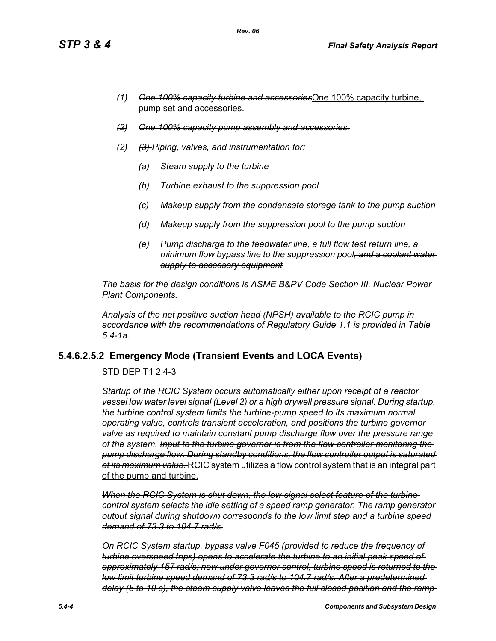- *(1) One 100% capacity turbine and accessories*One 100% capacity turbine, pump set and accessories.
- *(2) One 100% capacity pump assembly and accessories.*
- *(2) (3) Piping, valves, and instrumentation for:*
	- *(a) Steam supply to the turbine*
	- *(b) Turbine exhaust to the suppression pool*
	- *(c) Makeup supply from the condensate storage tank to the pump suction*
	- *(d) Makeup supply from the suppression pool to the pump suction*
	- *(e) Pump discharge to the feedwater line, a full flow test return line, a minimum flow bypass line to the suppression pool, and a coolant water supply to accessory equipment*

*The basis for the design conditions is ASME B&PV Code Section III, Nuclear Power Plant Components.*

*Analysis of the net positive suction head (NPSH) available to the RCIC pump in accordance with the recommendations of Regulatory Guide 1.1 is provided in Table 5.4-1a.*

## **5.4.6.2.5.2 Emergency Mode (Transient Events and LOCA Events)**

STD DEP T1 2.4-3

*Startup of the RCIC System occurs automatically either upon receipt of a reactor vessel low water level signal (Level 2) or a high drywell pressure signal. During startup, the turbine control system limits the turbine-pump speed to its maximum normal operating value, controls transient acceleration, and positions the turbine governor valve as required to maintain constant pump discharge flow over the pressure range of the system. Input to the turbine governor is from the flow controller monitoring the pump discharge flow. During standby conditions, the flow controller output is saturated at its maximum value.* RCIC system utilizes a flow control system that is an integral part of the pump and turbine.

*When the RCIC System is shut down, the low signal select feature of the turbine control system selects the idle setting of a speed ramp generator. The ramp generator output signal during shutdown corresponds to the low limit step and a turbine speed demand of 73.3 to 104.7 rad/s.*

*On RCIC System startup, bypass valve F045 (provided to reduce the frequency of turbine overspeed trips) opens to accelerate the turbine to an initial peak speed of approximately 157 rad/s; now under governor control, turbine speed is returned to the low limit turbine speed demand of 73.3 rad/s to 104.7 rad/s. After a predetermined delay (5 to 10 s), the steam supply valve leaves the full closed position and the ramp*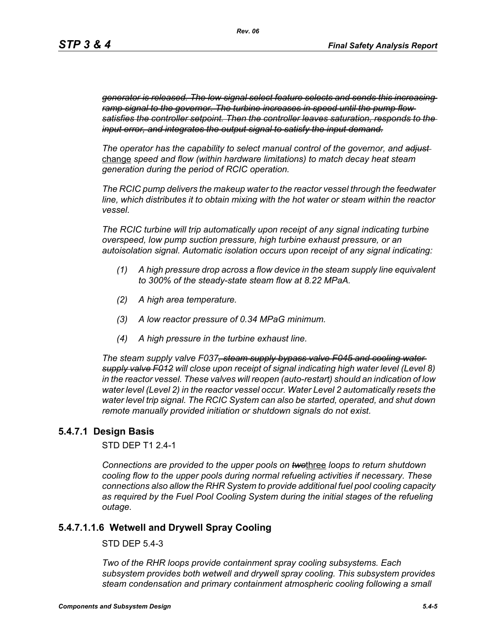*generator is released. The low signal select feature selects and sends this increasing ramp signal to the governor. The turbine increases in speed until the pump flow satisfies the controller setpoint. Then the controller leaves saturation, responds to the input error, and integrates the output signal to satisfy the input demand.*

*The operator has the capability to select manual control of the governor, and adjust*  change *speed and flow (within hardware limitations) to match decay heat steam generation during the period of RCIC operation.*

*The RCIC pump delivers the makeup water to the reactor vessel through the feedwater line, which distributes it to obtain mixing with the hot water or steam within the reactor vessel.*

*The RCIC turbine will trip automatically upon receipt of any signal indicating turbine overspeed, low pump suction pressure, high turbine exhaust pressure, or an autoisolation signal. Automatic isolation occurs upon receipt of any signal indicating:*

- *(1) A high pressure drop across a flow device in the steam supply line equivalent to 300% of the steady-state steam flow at 8.22 MPaA.*
- *(2) A high area temperature.*
- *(3) A low reactor pressure of 0.34 MPaG minimum.*
- *(4) A high pressure in the turbine exhaust line.*

*The steam supply valve F037, steam supply bypass valve F045 and cooling water supply valve F012 will close upon receipt of signal indicating high water level (Level 8) in the reactor vessel. These valves will reopen (auto-restart) should an indication of low water level (Level 2) in the reactor vessel occur. Water Level 2 automatically resets the water level trip signal. The RCIC System can also be started, operated, and shut down remote manually provided initiation or shutdown signals do not exist.*

### **5.4.7.1 Design Basis**

STD DEP T1 2.4-1

*Connections are provided to the upper pools on two*three *loops to return shutdown cooling flow to the upper pools during normal refueling activities if necessary. These connections also allow the RHR System to provide additional fuel pool cooling capacity as required by the Fuel Pool Cooling System during the initial stages of the refueling outage.*

### **5.4.7.1.1.6 Wetwell and Drywell Spray Cooling**

STD DEP 5.4-3

*Two of the RHR loops provide containment spray cooling subsystems. Each subsystem provides both wetwell and drywell spray cooling. This subsystem provides steam condensation and primary containment atmospheric cooling following a small*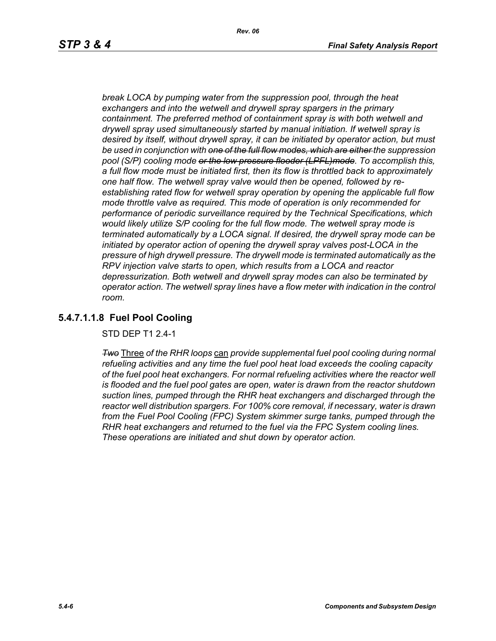*break LOCA by pumping water from the suppression pool, through the heat exchangers and into the wetwell and drywell spray spargers in the primary containment. The preferred method of containment spray is with both wetwell and drywell spray used simultaneously started by manual initiation. If wetwell spray is desired by itself, without drywell spray, it can be initiated by operator action, but must be used in conjunction with one of the full flow modes, which are either the suppression pool (S/P) cooling mode or the low pressure flooder (LPFL)mode. To accomplish this, a full flow mode must be initiated first, then its flow is throttled back to approximately one half flow. The wetwell spray valve would then be opened, followed by reestablishing rated flow for wetwell spray operation by opening the applicable full flow mode throttle valve as required. This mode of operation is only recommended for performance of periodic surveillance required by the Technical Specifications, which would likely utilize S/P cooling for the full flow mode. The wetwell spray mode is terminated automatically by a LOCA signal. If desired, the drywell spray mode can be initiated by operator action of opening the drywell spray valves post-LOCA in the pressure of high drywell pressure. The drywell mode is terminated automatically as the RPV injection valve starts to open, which results from a LOCA and reactor depressurization. Both wetwell and drywell spray modes can also be terminated by operator action. The wetwell spray lines have a flow meter with indication in the control room.*

# **5.4.7.1.1.8 Fuel Pool Cooling**

STD DEP T1 2.4-1

*Two* Three *of the RHR loops* can *provide supplemental fuel pool cooling during normal refueling activities and any time the fuel pool heat load exceeds the cooling capacity of the fuel pool heat exchangers. For normal refueling activities where the reactor well is flooded and the fuel pool gates are open, water is drawn from the reactor shutdown suction lines, pumped through the RHR heat exchangers and discharged through the reactor well distribution spargers. For 100% core removal, if necessary, water is drawn from the Fuel Pool Cooling (FPC) System skimmer surge tanks, pumped through the RHR heat exchangers and returned to the fuel via the FPC System cooling lines. These operations are initiated and shut down by operator action.*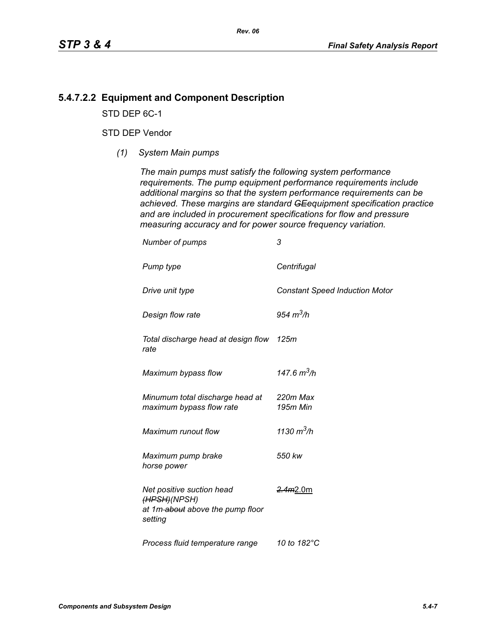## **5.4.7.2.2 Equipment and Component Description**

STD DEP 6C-1

## STD DEP Vendor

*(1) System Main pumps*

*The main pumps must satisfy the following system performance requirements. The pump equipment performance requirements include additional margins so that the system performance requirements can be achieved. These margins are standard GEequipment specification practice and are included in procurement specifications for flow and pressure measuring accuracy and for power source frequency variation.*

| Number of pumps                                                                          | 3                                     |
|------------------------------------------------------------------------------------------|---------------------------------------|
| Pump type                                                                                | Centrifugal                           |
| Drive unit type                                                                          | <b>Constant Speed Induction Motor</b> |
| Design flow rate                                                                         | 954 $m^3/h$                           |
| Total discharge head at design flow 125m<br>rate                                         |                                       |
| Maximum bypass flow                                                                      | 147.6 $m^3/h$                         |
| Minumum total discharge head at<br>maximum bypass flow rate                              | 220m Max<br>195m Min                  |
| Maximum runout flow                                                                      | 1130 $m^3/h$                          |
| Maximum pump brake<br>horse power                                                        | 550 kw                                |
| Net positive suction head<br>(HPSH)(NPSH)<br>at 1m-about above the pump floor<br>setting | <del>2.4m</del> 2.0m                  |
| Process fluid temperature range                                                          | 10 to 182°C                           |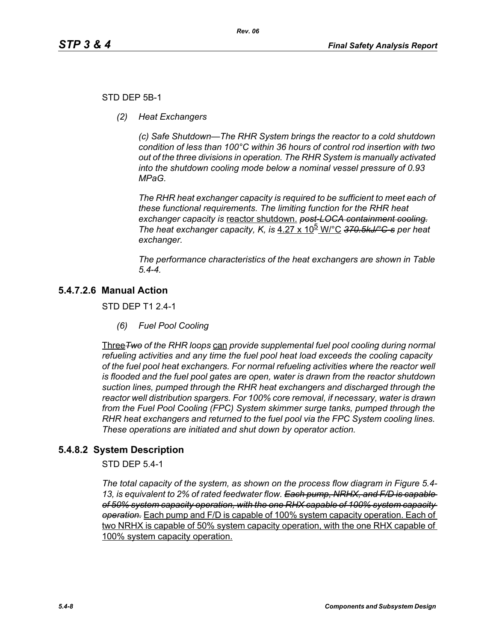### STD DEP 5B-1

*(2) Heat Exchangers*

*(c) Safe Shutdown—The RHR System brings the reactor to a cold shutdown condition of less than 100°C within 36 hours of control rod insertion with two out of the three divisions in operation. The RHR System is manually activated into the shutdown cooling mode below a nominal vessel pressure of 0.93 MPaG.* 

*The RHR heat exchanger capacity is required to be sufficient to meet each of these functional requirements. The limiting function for the RHR heat exchanger capacity is* reactor shutdown. *post-LOCA containment cooling. The heat exchanger capacity, K, is* 4.27 x 10<sup>b</sup> W/°C 370.5kJ/°C-s per heat *exchanger.*

*The performance characteristics of the heat exchangers are shown in Table 5.4-4.*

# **5.4.7.2.6 Manual Action**

STD DEP T1 2.4-1

*(6) Fuel Pool Cooling*

Three*Two of the RHR loops* can *provide supplemental fuel pool cooling during normal refueling activities and any time the fuel pool heat load exceeds the cooling capacity of the fuel pool heat exchangers. For normal refueling activities where the reactor well is flooded and the fuel pool gates are open, water is drawn from the reactor shutdown suction lines, pumped through the RHR heat exchangers and discharged through the reactor well distribution spargers. For 100% core removal, if necessary, water is drawn from the Fuel Pool Cooling (FPC) System skimmer surge tanks, pumped through the RHR heat exchangers and returned to the fuel pool via the FPC System cooling lines. These operations are initiated and shut down by operator action.*

## **5.4.8.2 System Description**

STD DEP 5.4-1

*The total capacity of the system, as shown on the process flow diagram in Figure 5.4- 13, is equivalent to 2% of rated feedwater flow. Each pump, NRHX, and F/D is capable of 50% system capacity operation, with the one RHX capable of 100% system capacity operation.* Each pump and F/D is capable of 100% system capacity operation. Each of two NRHX is capable of 50% system capacity operation, with the one RHX capable of 100% system capacity operation.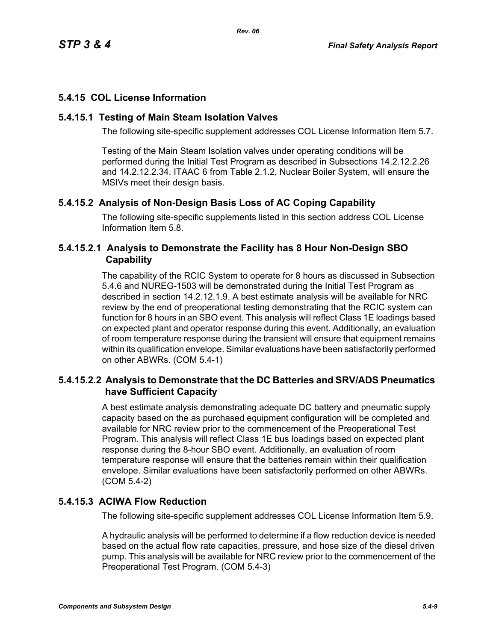# **5.4.15 COL License Information**

## **5.4.15.1 Testing of Main Steam Isolation Valves**

The following site-specific supplement addresses COL License Information Item 5.7.

Testing of the Main Steam Isolation valves under operating conditions will be performed during the Initial Test Program as described in Subsections 14.2.12.2.26 and 14.2.12.2.34. ITAAC 6 from Table 2.1.2, Nuclear Boiler System, will ensure the MSIVs meet their design basis.

# **5.4.15.2 Analysis of Non-Design Basis Loss of AC Coping Capability**

The following site-specific supplements listed in this section address COL License Information Item 5.8.

## **5.4.15.2.1 Analysis to Demonstrate the Facility has 8 Hour Non-Design SBO Capability**

The capability of the RCIC System to operate for 8 hours as discussed in Subsection 5.4.6 and NUREG-1503 will be demonstrated during the Initial Test Program as described in section 14.2.12.1.9. A best estimate analysis will be available for NRC review by the end of preoperational testing demonstrating that the RCIC system can function for 8 hours in an SBO event. This analysis will reflect Class 1E loadings based on expected plant and operator response during this event. Additionally, an evaluation of room temperature response during the transient will ensure that equipment remains within its qualification envelope. Similar evaluations have been satisfactorily performed on other ABWRs. (COM 5.4-1)

# **5.4.15.2.2 Analysis to Demonstrate that the DC Batteries and SRV/ADS Pneumatics have Sufficient Capacity**

A best estimate analysis demonstrating adequate DC battery and pneumatic supply capacity based on the as purchased equipment configuration will be completed and available for NRC review prior to the commencement of the Preoperational Test Program. This analysis will reflect Class 1E bus loadings based on expected plant response during the 8-hour SBO event. Additionally, an evaluation of room temperature response will ensure that the batteries remain within their qualification envelope. Similar evaluations have been satisfactorily performed on other ABWRs. (COM 5.4-2)

# **5.4.15.3 ACIWA Flow Reduction**

The following site-specific supplement addresses COL License Information Item 5.9.

A hydraulic analysis will be performed to determine if a flow reduction device is needed based on the actual flow rate capacities, pressure, and hose size of the diesel driven pump. This analysis will be available for NRC review prior to the commencement of the Preoperational Test Program. (COM 5.4-3)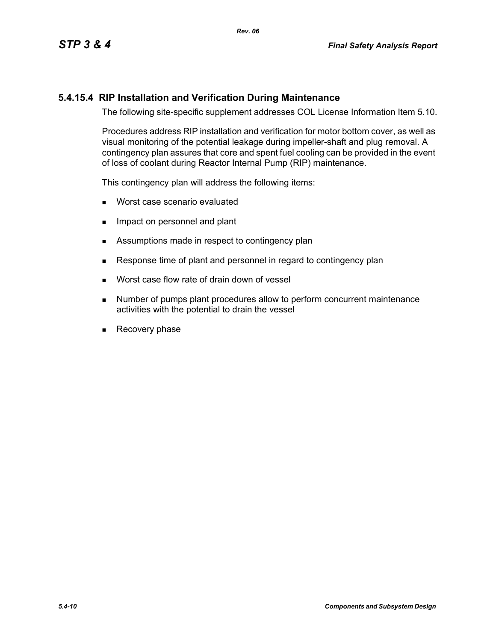## **5.4.15.4 RIP Installation and Verification During Maintenance**

The following site-specific supplement addresses COL License Information Item 5.10.

Procedures address RIP installation and verification for motor bottom cover, as well as visual monitoring of the potential leakage during impeller-shaft and plug removal. A contingency plan assures that core and spent fuel cooling can be provided in the event of loss of coolant during Reactor Internal Pump (RIP) maintenance.

This contingency plan will address the following items:

- **Worst case scenario evaluated**
- **IMPACT ON PERSONAL EXAMPLE 19** Impact on personnel and plant
- Assumptions made in respect to contingency plan
- Response time of plant and personnel in regard to contingency plan
- **Norst case flow rate of drain down of vessel**
- **Number of pumps plant procedures allow to perform concurrent maintenance** activities with the potential to drain the vessel
- Recovery phase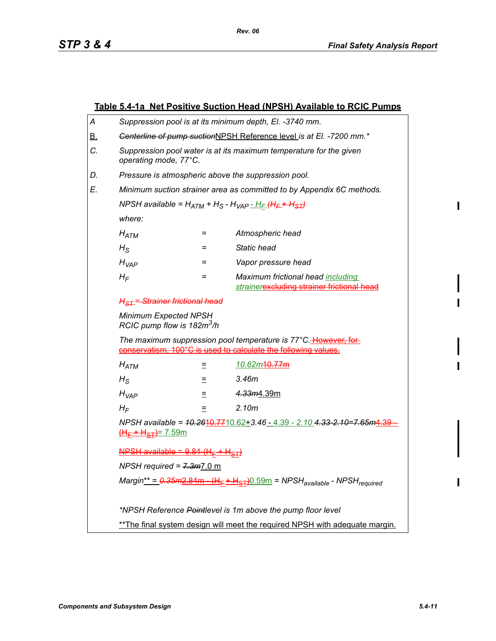$\mathbf{I}$ 

 $\mathbf I$ 

I

|                                                                                                                                                                                                                                                                 | <b>Table 5.4-1a Net Positive Suction Head (NPSH) Available to RCIC Pumps</b>                                                                |          |                                                                                 |  |
|-----------------------------------------------------------------------------------------------------------------------------------------------------------------------------------------------------------------------------------------------------------------|---------------------------------------------------------------------------------------------------------------------------------------------|----------|---------------------------------------------------------------------------------|--|
| А                                                                                                                                                                                                                                                               | Suppression pool is at its minimum depth, El. -3740 mm.                                                                                     |          |                                                                                 |  |
| <u>B.</u>                                                                                                                                                                                                                                                       | Genterline of pump suctionNPSH Reference level is at El. -7200 mm.*                                                                         |          |                                                                                 |  |
| C.                                                                                                                                                                                                                                                              | Suppression pool water is at its maximum temperature for the given<br>operating mode, 77°C.                                                 |          |                                                                                 |  |
| D.                                                                                                                                                                                                                                                              | Pressure is atmospheric above the suppression pool.                                                                                         |          |                                                                                 |  |
| E.                                                                                                                                                                                                                                                              | Minimum suction strainer area as committed to by Appendix 6C methods.                                                                       |          |                                                                                 |  |
|                                                                                                                                                                                                                                                                 | NPSH available = $H_{ATM}$ + H <sub>S</sub> - H <sub>VAP</sub> - H <sub>F</sub> (H <sub>F</sub> + H <sub>ST</sub> )                         |          |                                                                                 |  |
|                                                                                                                                                                                                                                                                 | where:                                                                                                                                      |          |                                                                                 |  |
|                                                                                                                                                                                                                                                                 | $H_{ATM}$                                                                                                                                   | =        | Atmospheric head                                                                |  |
|                                                                                                                                                                                                                                                                 | $H_{\rm S}$                                                                                                                                 | $=$      | <b>Static head</b>                                                              |  |
|                                                                                                                                                                                                                                                                 | $H_{VAP}$                                                                                                                                   | =        | Vapor pressure head                                                             |  |
|                                                                                                                                                                                                                                                                 | $H_F$                                                                                                                                       | =        | Maximum frictional head including<br>strainerexcluding strainer frictional head |  |
| <u> H<sub>ST</sub> = Strainer frictional head</u><br><b>Minimum Expected NPSH</b><br>RCIC pump flow is 182m <sup>3</sup> /h<br>The maximum suppression pool temperature is 77°C. However, for<br>conservatism, 100°C is used to calculate the following values. |                                                                                                                                             |          |                                                                                 |  |
|                                                                                                                                                                                                                                                                 |                                                                                                                                             |          |                                                                                 |  |
|                                                                                                                                                                                                                                                                 |                                                                                                                                             |          |                                                                                 |  |
|                                                                                                                                                                                                                                                                 | $H_{ATM}$                                                                                                                                   |          | 10.62m10.77m                                                                    |  |
|                                                                                                                                                                                                                                                                 | $H_{\rm S}$                                                                                                                                 |          | 3.46m                                                                           |  |
|                                                                                                                                                                                                                                                                 | $H_{VAP}$                                                                                                                                   | $\equiv$ | 4.33m4.39m                                                                      |  |
|                                                                                                                                                                                                                                                                 | $H_F$                                                                                                                                       | $=$      | 2.10 <sub>m</sub>                                                               |  |
|                                                                                                                                                                                                                                                                 | NPSH available = $40.2610.7710.62 + 3.46 - 4.39 - 2.10 - 4.33 - 2.10 = 7.65m4.39$<br>$\frac{H_F + H_{ST}}{2}$ 7.59m                         |          |                                                                                 |  |
|                                                                                                                                                                                                                                                                 | $NPSH$ available = $9.84$ (H <sub>F</sub> + H <sub>ST</sub> )<br>NPSH required = $7.3m$ 7.0 m                                               |          |                                                                                 |  |
|                                                                                                                                                                                                                                                                 |                                                                                                                                             |          |                                                                                 |  |
| Margin <sup>**</sup> = $0.35m2.84m$ (H <sub>F</sub> + H <sub>ST</sub> ) 0.59m = NPSH <sub>available</sub> - NPSH <sub>required</sub>                                                                                                                            |                                                                                                                                             |          |                                                                                 |  |
|                                                                                                                                                                                                                                                                 | *NPSH Reference Pointlevel is 1m above the pump floor level<br>** The final system design will meet the required NPSH with adequate margin. |          |                                                                                 |  |
|                                                                                                                                                                                                                                                                 |                                                                                                                                             |          |                                                                                 |  |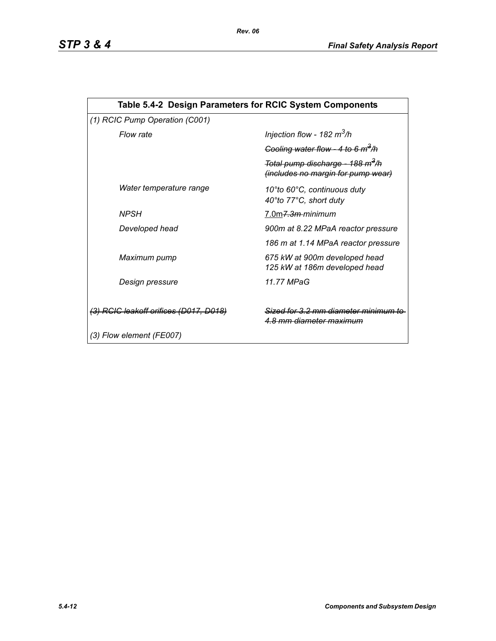| Table 5.4-2 Design Parameters for RCIC System Components |                                                                                           |  |  |  |
|----------------------------------------------------------|-------------------------------------------------------------------------------------------|--|--|--|
| (1) RCIC Pump Operation (C001)                           |                                                                                           |  |  |  |
| Flow rate                                                | Injection flow - 182 $m^3/h$                                                              |  |  |  |
|                                                          | Cooling water flow - 4 to 6 $m^3/h$                                                       |  |  |  |
|                                                          | Total pump discharge - 188 m <sup>3</sup> /h<br><i>(includes no margin for pump wear)</i> |  |  |  |
| Water temperature range                                  | 10°to 60°C, continuous duty<br>40°to 77°C, short duty                                     |  |  |  |
| <b>NPSH</b>                                              | 7.0m <del>7.3m-</del> minimum                                                             |  |  |  |
| Developed head                                           | 900m at 8.22 MPaA reactor pressure                                                        |  |  |  |
|                                                          | 186 m at 1.14 MPaA reactor pressure                                                       |  |  |  |
| Maximum pump                                             | 675 kW at 900m developed head<br>125 kW at 186m developed head                            |  |  |  |
| Design pressure                                          | 11.77 MPaG                                                                                |  |  |  |
| (3) RCIC leakoff orifices (D017, D018)                   | Sized for 3.2 mm diameter minimum<br><u>4.8 mm diameter maximum</u>                       |  |  |  |
| (3) Flow element (FE007)                                 |                                                                                           |  |  |  |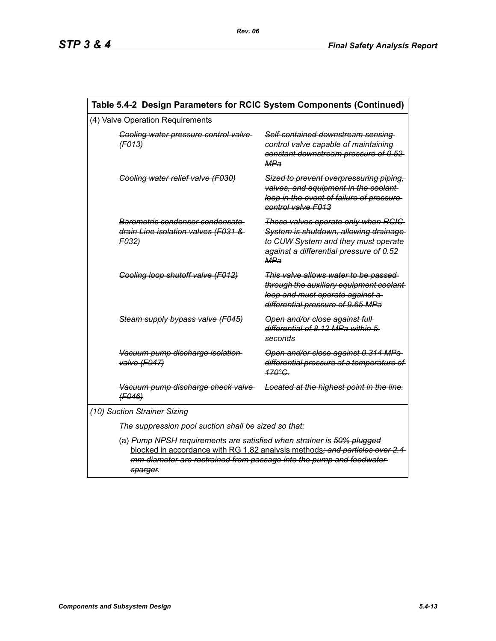| Table 5.4-2 Design Parameters for RCIC System Components (Continued) |                                                                                                                                                                                                                                          |                                                                                                                                                                               |  |  |
|----------------------------------------------------------------------|------------------------------------------------------------------------------------------------------------------------------------------------------------------------------------------------------------------------------------------|-------------------------------------------------------------------------------------------------------------------------------------------------------------------------------|--|--|
| (4) Valve Operation Requirements                                     |                                                                                                                                                                                                                                          |                                                                                                                                                                               |  |  |
|                                                                      | Cooling water pressure control valve<br>(F013)                                                                                                                                                                                           | Self-contained downstream sensing<br>control valve capable of maintaining<br>constant downstream pressure of 0.52<br>MPa                                                      |  |  |
|                                                                      | Cooling water relief valve (F030)                                                                                                                                                                                                        | Sized to prevent overpressuring piping,<br>valves, and equipment in the coolant-<br>loop in the event of failure of pressure-<br>control valve F013                           |  |  |
|                                                                      | Barometric condenser condensate<br>drain Line isolation valves (F031 &<br>F032)                                                                                                                                                          | These valves operate only when RCIC<br>System is shutdown, allowing drainage<br>to CUW System and they must operate<br>against a differential pressure of 0.52-<br><b>MPa</b> |  |  |
|                                                                      | Cooling loop shutoff valve (F012)                                                                                                                                                                                                        | This valve allows water to be passed<br>through the auxiliary equipment coolant-<br>loop and must operate against a<br>differential pressure of 9.65 MPa                      |  |  |
|                                                                      | Steam supply bypass valve (F045)                                                                                                                                                                                                         | Open and/or close against full-<br>differential of 8.12 MPa within 5<br>seconds                                                                                               |  |  |
|                                                                      | Vacuum pump discharge isolation<br>valve (F047)                                                                                                                                                                                          | Open and/or close against 0.314 MPa<br>differential pressure at a temperature of<br>$470^{\circ}$ C.                                                                          |  |  |
|                                                                      | Vacuum pump discharge check valve<br>(F046)                                                                                                                                                                                              | Located at the highest point in the line.                                                                                                                                     |  |  |
| (10) Suction Strainer Sizing                                         |                                                                                                                                                                                                                                          |                                                                                                                                                                               |  |  |
| The suppression pool suction shall be sized so that:                 |                                                                                                                                                                                                                                          |                                                                                                                                                                               |  |  |
|                                                                      | (a) Pump NPSH requirements are satisfied when strainer is 50% plugged<br>blocked in accordance with RG 1.82 analysis methods; and particles over 2.4<br>mm diameter are restrained from passage into the pump and feedwater-<br>sparger. |                                                                                                                                                                               |  |  |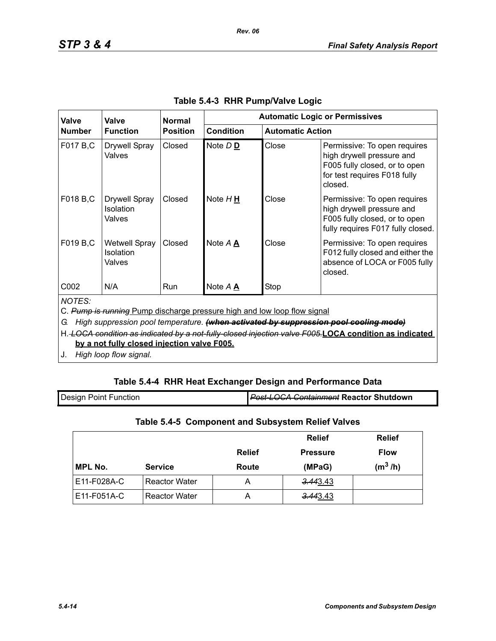| Valve                                                                                                                                                                                                                                                                                                                                           | Valve<br><b>Function</b>                           | <b>Normal</b><br><b>Position</b> | <b>Automatic Logic or Permissives</b> |                         |                                                                                                                                       |
|-------------------------------------------------------------------------------------------------------------------------------------------------------------------------------------------------------------------------------------------------------------------------------------------------------------------------------------------------|----------------------------------------------------|----------------------------------|---------------------------------------|-------------------------|---------------------------------------------------------------------------------------------------------------------------------------|
| <b>Number</b>                                                                                                                                                                                                                                                                                                                                   |                                                    |                                  | <b>Condition</b>                      | <b>Automatic Action</b> |                                                                                                                                       |
| F017 B,C                                                                                                                                                                                                                                                                                                                                        | <b>Drywell Spray</b><br>Valves                     | Closed                           | Note D <sub>D</sub>                   | Close                   | Permissive: To open requires<br>high drywell pressure and<br>F005 fully closed, or to open<br>for test requires F018 fully<br>closed. |
| F018 B,C                                                                                                                                                                                                                                                                                                                                        | <b>Drywell Spray</b><br>Isolation<br>Valves        | Closed                           | Note $H \underline{H}$                | Close                   | Permissive: To open requires<br>high drywell pressure and<br>F005 fully closed, or to open<br>fully requires F017 fully closed.       |
| F019 B,C                                                                                                                                                                                                                                                                                                                                        | <b>Wetwell Spray</b><br><b>Isolation</b><br>Valves | Closed                           | Note A A                              | Close                   | Permissive: To open requires<br>F012 fully closed and either the<br>absence of LOCA or F005 fully<br>closed.                          |
| C <sub>0</sub> 02                                                                                                                                                                                                                                                                                                                               | N/A                                                | <b>Run</b>                       | Note A A                              | Stop                    |                                                                                                                                       |
| <b>NOTES:</b><br>C. Pump is running Pump discharge pressure high and low loop flow signal<br>High suppression pool temperature. (when activated by suppression pool cooling mode)<br>G.<br>H. LOCA condition as indicated by a not-fully-closed injection valve F005.LOCA condition as indicated<br>by a not fully closed injection valve F005. |                                                    |                                  |                                       |                         |                                                                                                                                       |

*Rev. 06*

J. *High loop flow signal.*

# **Table 5.4-4 RHR Heat Exchanger Design and Performance Data**

| <b>Design Point Function</b> | <b>Post-LOCA Containment Reactor Shutdown</b> |
|------------------------------|-----------------------------------------------|
|                              |                                               |

## **Table 5.4-5 Component and Subsystem Relief Valves**

|             |                      |               | <b>Relief</b>        | <b>Relief</b> |
|-------------|----------------------|---------------|----------------------|---------------|
|             |                      | <b>Relief</b> | <b>Pressure</b>      | <b>Flow</b>   |
| MPL No.     | <b>Service</b>       | Route         | (MPaG)               | $(m^3/h)$     |
| E11-F028A-C | <b>Reactor Water</b> | Α             | <del>3.44</del> 3.43 |               |
| E11-F051A-C | <b>Reactor Water</b> | A             | 3.443.43             |               |

1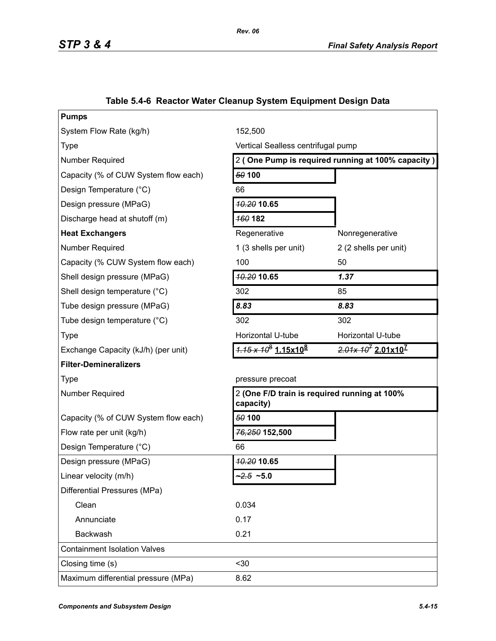| <b>Pumps</b>                         |                                                   |                                              |  |
|--------------------------------------|---------------------------------------------------|----------------------------------------------|--|
| System Flow Rate (kg/h)              | 152,500                                           |                                              |  |
| <b>Type</b>                          | Vertical Sealless centrifugal pump                |                                              |  |
| Number Required                      | 2 (One Pump is required running at 100% capacity) |                                              |  |
| Capacity (% of CUW System flow each) | 50 100                                            |                                              |  |
| Design Temperature (°C)              | 66                                                |                                              |  |
| Design pressure (MPaG)               | <b>40.20 10.65</b>                                |                                              |  |
| Discharge head at shutoff (m)        | <b>160 182</b>                                    |                                              |  |
| <b>Heat Exchangers</b>               | Regenerative                                      | Nonregenerative                              |  |
| Number Required                      | 1 (3 shells per unit)                             | 2 (2 shells per unit)                        |  |
| Capacity (% CUW System flow each)    | 100                                               | 50                                           |  |
| Shell design pressure (MPaG)         | 10.20 10.65                                       | 1.37                                         |  |
| Shell design temperature (°C)        | 302                                               | 85                                           |  |
| Tube design pressure (MPaG)          | 8.83                                              | 8.83                                         |  |
| Tube design temperature (°C)         | 302                                               | 302                                          |  |
| <b>Type</b>                          | Horizontal U-tube                                 | Horizontal U-tube                            |  |
| Exchange Capacity (kJ/h) (per unit)  | $4.15 \times 10^8$ 1.15x10 <sup>8</sup>           | $2.01x 107 2.01x107$                         |  |
| <b>Filter-Demineralizers</b>         |                                                   |                                              |  |
| <b>Type</b>                          | pressure precoat                                  |                                              |  |
| <b>Number Required</b>               | capacity)                                         | 2 (One F/D train is required running at 100% |  |
| Capacity (% of CUW System flow each) | 50 100                                            |                                              |  |
| Flow rate per unit (kg/h)            | 76,250 152,500                                    |                                              |  |
| Design Temperature (°C)              | 66                                                |                                              |  |
| Design pressure (MPaG)               | <b>10.20 10.65</b>                                |                                              |  |
| Linear velocity (m/h)                | $2.5 - 5.0$                                       |                                              |  |
| Differential Pressures (MPa)         |                                                   |                                              |  |
| Clean                                | 0.034                                             |                                              |  |
| Annunciate                           | 0.17                                              |                                              |  |
| Backwash                             | 0.21                                              |                                              |  |
| <b>Containment Isolation Valves</b>  |                                                   |                                              |  |
| Closing time (s)                     | $30$                                              |                                              |  |
| Maximum differential pressure (MPa)  | 8.62                                              |                                              |  |
|                                      |                                                   |                                              |  |

# **Table 5.4-6 Reactor Water Cleanup System Equipment Design Data**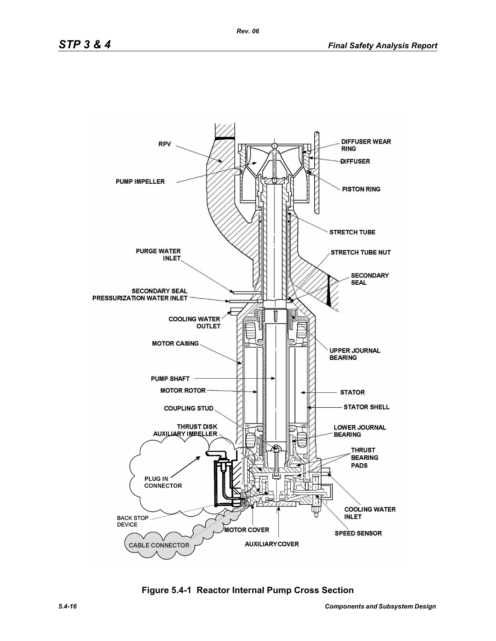

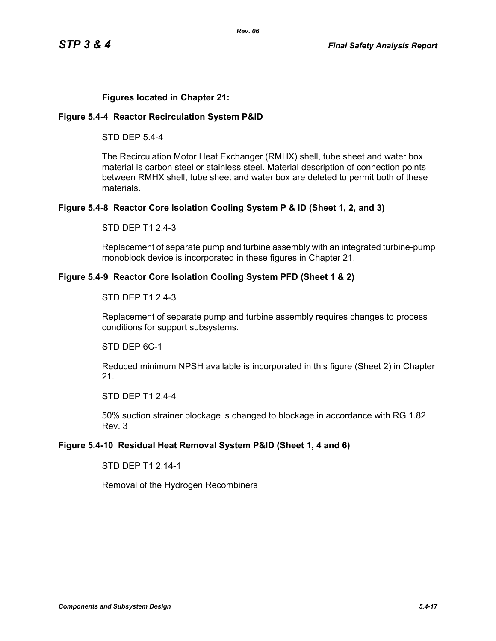### **Figures located in Chapter 21:**

### **Figure 5.4-4 Reactor Recirculation System P&ID**

STD DEP 5.4-4

The Recirculation Motor Heat Exchanger (RMHX) shell, tube sheet and water box material is carbon steel or stainless steel. Material description of connection points between RMHX shell, tube sheet and water box are deleted to permit both of these materials.

### **Figure 5.4-8 Reactor Core Isolation Cooling System P & ID (Sheet 1, 2, and 3)**

STD DEP T1 2.4-3

Replacement of separate pump and turbine assembly with an integrated turbine-pump monoblock device is incorporated in these figures in Chapter 21.

### **Figure 5.4-9 Reactor Core Isolation Cooling System PFD (Sheet 1 & 2)**

### STD DEP T1 2.4-3

Replacement of separate pump and turbine assembly requires changes to process conditions for support subsystems.

STD DEP 6C-1

Reduced minimum NPSH available is incorporated in this figure (Sheet 2) in Chapter 21.

STD DEP T1 2.4-4

50% suction strainer blockage is changed to blockage in accordance with RG 1.82 Rev. 3

### **Figure 5.4-10 Residual Heat Removal System P&ID (Sheet 1, 4 and 6)**

STD DEP T1 2.14-1

Removal of the Hydrogen Recombiners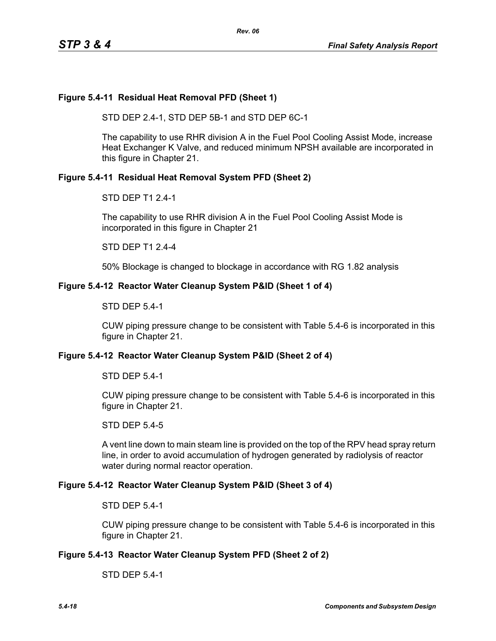### **Figure 5.4-11 Residual Heat Removal PFD (Sheet 1)**

STD DEP 2.4-1, STD DEP 5B-1 and STD DEP 6C-1

The capability to use RHR division A in the Fuel Pool Cooling Assist Mode, increase Heat Exchanger K Valve, and reduced minimum NPSH available are incorporated in this figure in Chapter 21.

### **Figure 5.4-11 Residual Heat Removal System PFD (Sheet 2)**

STD DEP T1 2.4-1

The capability to use RHR division A in the Fuel Pool Cooling Assist Mode is incorporated in this figure in Chapter 21

STD DEP T1 2.4-4

50% Blockage is changed to blockage in accordance with RG 1.82 analysis

### **Figure 5.4-12 Reactor Water Cleanup System P&ID (Sheet 1 of 4)**

STD DEP 5.4-1

CUW piping pressure change to be consistent with Table 5.4-6 is incorporated in this figure in Chapter 21.

### **Figure 5.4-12 Reactor Water Cleanup System P&ID (Sheet 2 of 4)**

STD DEP 5.4-1

CUW piping pressure change to be consistent with Table 5.4-6 is incorporated in this figure in Chapter 21.

STD DEP 5.4-5

A vent line down to main steam line is provided on the top of the RPV head spray return line, in order to avoid accumulation of hydrogen generated by radiolysis of reactor water during normal reactor operation.

### **Figure 5.4-12 Reactor Water Cleanup System P&ID (Sheet 3 of 4)**

STD DEP 5.4-1

CUW piping pressure change to be consistent with Table 5.4-6 is incorporated in this figure in Chapter 21.

### **Figure 5.4-13 Reactor Water Cleanup System PFD (Sheet 2 of 2)**

STD DEP 5.4-1